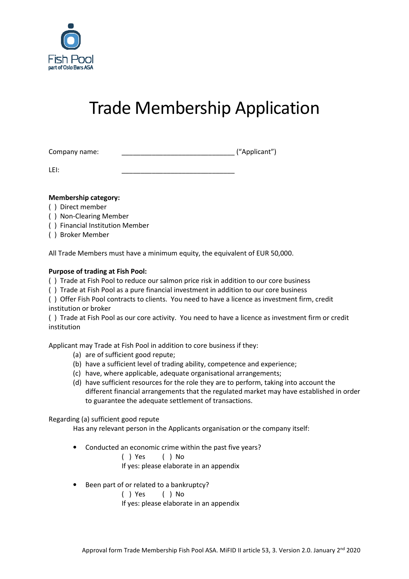

# Trade Membership Application

| Company name: |  | ("Applicant") |
|---------------|--|---------------|
|---------------|--|---------------|

LEI: \_\_\_\_\_\_\_\_\_\_\_\_\_\_\_\_\_\_\_\_\_\_\_\_\_\_\_\_\_\_

### **Membership category:**

- ( ) Direct member
- ( ) Non-Clearing Member
- ( ) Financial Institution Member
- ( ) Broker Member

All Trade Members must have a minimum equity, the equivalent of EUR 50,000.

## **Purpose of trading at Fish Pool:**

( ) Trade at Fish Pool to reduce our salmon price risk in addition to our core business

( ) Trade at Fish Pool as a pure financial investment in addition to our core business

( ) Offer Fish Pool contracts to clients. You need to have a licence as investment firm, credit institution or broker

( ) Trade at Fish Pool as our core activity. You need to have a licence as investment firm or credit institution

Applicant may Trade at Fish Pool in addition to core business if they:

- (a) are of sufficient good repute;
- (b) have a sufficient level of trading ability, competence and experience;
- (c) have, where applicable, adequate organisational arrangements;
- (d) have sufficient resources for the role they are to perform, taking into account the different financial arrangements that the regulated market may have established in order to guarantee the adequate settlement of transactions.

### Regarding (a) sufficient good repute

Has any relevant person in the Applicants organisation or the company itself:

- Conducted an economic crime within the past five years?
	- ( ) Yes ( ) No

If yes: please elaborate in an appendix

• Been part of or related to a bankruptcy?

( ) Yes ( ) No

If yes: please elaborate in an appendix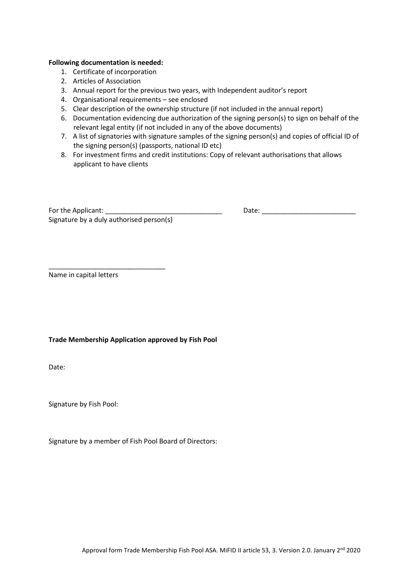#### **Following documentation is needed:**

- 1. Certificate of incorporation
- 2. Articles of Association
- 3. Annual report for the previous two years, with Independent auditor's report
- 4. Organisational requirements see enclosed
- 5. Clear description of the ownership structure (if not included in the annual report)
- 6. Documentation evidencing due authorization of the signing person(s) to sign on behalf of the relevant legal entity (if not included in any of the above documents)
- 7. A list of signatories with signature samples of the signing person(s) and copies of official ID of the signing person(s) (passports, national ID etc)
- 8. For investment firms and credit institutions: Copy of relevant authorisations that allows applicant to have clients

| For the Applicant:                       |  |
|------------------------------------------|--|
| Signature by a duly authorised person(s) |  |

\_\_\_\_\_\_\_\_\_\_\_\_\_\_\_\_\_\_\_\_\_\_\_\_\_\_\_\_\_\_\_

For the Applicant: \_\_\_\_\_\_\_\_\_\_\_\_\_\_\_\_\_\_\_\_\_\_\_\_\_\_\_\_\_\_\_ Date: \_\_\_\_\_\_\_\_\_\_\_\_\_\_\_\_\_\_\_\_\_\_\_\_\_

Name in capital letters

#### **Trade Membership Application approved by Fish Pool**

Date:

Signature by Fish Pool:

Signature by a member of Fish Pool Board of Directors: